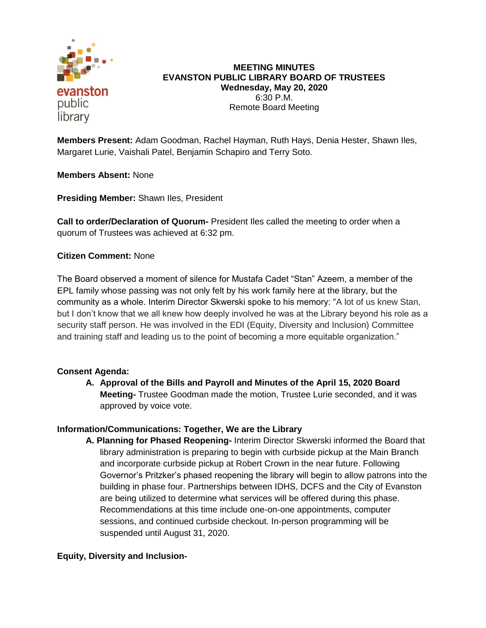

**MEETING MINUTES EVANSTON PUBLIC LIBRARY BOARD OF TRUSTEES Wednesday, May 20, 2020** 6:30 P.M. Remote Board Meeting

**Members Present:** Adam Goodman, Rachel Hayman, Ruth Hays, Denia Hester, Shawn Iles, Margaret Lurie, Vaishali Patel, Benjamin Schapiro and Terry Soto.

**Members Absent:** None

**Presiding Member:** Shawn Iles, President

**Call to order/Declaration of Quorum-** President Iles called the meeting to order when a quorum of Trustees was achieved at 6:32 pm.

## **Citizen Comment:** None

The Board observed a moment of silence for Mustafa Cadet "Stan" Azeem, a member of the EPL family whose passing was not only felt by his work family here at the library, but the community as a whole. Interim Director Skwerski spoke to his memory: "A lot of us knew Stan, but I don't know that we all knew how deeply involved he was at the Library beyond his role as a security staff person. He was involved in the EDI (Equity, Diversity and Inclusion) Committee and training staff and leading us to the point of becoming a more equitable organization."

## **Consent Agenda:**

**A. Approval of the Bills and Payroll and Minutes of the April 15, 2020 Board Meeting-** Trustee Goodman made the motion, Trustee Lurie seconded, and it was approved by voice vote.

#### **Information/Communications: Together, We are the Library**

**A. Planning for Phased Reopening-** Interim Director Skwerski informed the Board that library administration is preparing to begin with curbside pickup at the Main Branch and incorporate curbside pickup at Robert Crown in the near future. Following Governor's Pritzker's phased reopening the library will begin to allow patrons into the building in phase four. Partnerships between IDHS, DCFS and the City of Evanston are being utilized to determine what services will be offered during this phase. Recommendations at this time include one-on-one appointments, computer sessions, and continued curbside checkout. In-person programming will be suspended until August 31, 2020.

## **Equity, Diversity and Inclusion-**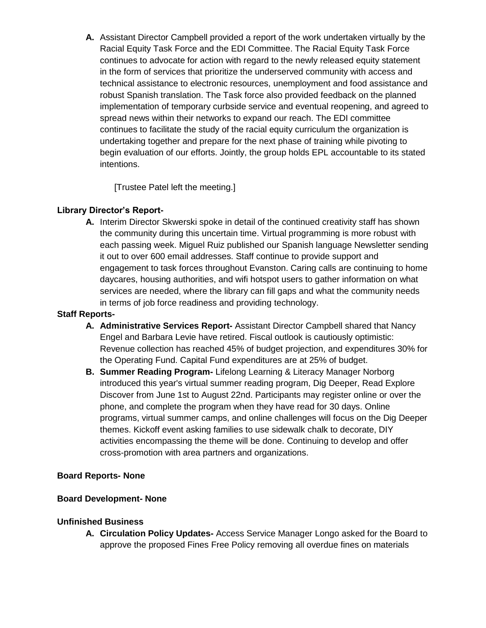**A.** Assistant Director Campbell provided a report of the work undertaken virtually by the Racial Equity Task Force and the EDI Committee. The Racial Equity Task Force continues to advocate for action with regard to the newly released equity statement in the form of services that prioritize the underserved community with access and technical assistance to electronic resources, unemployment and food assistance and robust Spanish translation. The Task force also provided feedback on the planned implementation of temporary curbside service and eventual reopening, and agreed to spread news within their networks to expand our reach. The EDI committee continues to facilitate the study of the racial equity curriculum the organization is undertaking together and prepare for the next phase of training while pivoting to begin evaluation of our efforts. Jointly, the group holds EPL accountable to its stated intentions.

[Trustee Patel left the meeting.]

# **Library Director's Report-**

**A.** Interim Director Skwerski spoke in detail of the continued creativity staff has shown the community during this uncertain time. Virtual programming is more robust with each passing week. Miguel Ruiz published our Spanish language Newsletter sending it out to over 600 email addresses. Staff continue to provide support and engagement to task forces throughout Evanston. Caring calls are continuing to home daycares, housing authorities, and wifi hotspot users to gather information on what services are needed, where the library can fill gaps and what the community needs in terms of job force readiness and providing technology.

# **Staff Reports-**

- **A. Administrative Services Report-** Assistant Director Campbell shared that Nancy Engel and Barbara Levie have retired. Fiscal outlook is cautiously optimistic: Revenue collection has reached 45% of budget projection, and expenditures 30% for the Operating Fund. Capital Fund expenditures are at 25% of budget.
- **B. Summer Reading Program-** Lifelong Learning & Literacy Manager Norborg introduced this year's virtual summer reading program, Dig Deeper, Read Explore Discover from June 1st to August 22nd. Participants may register online or over the phone, and complete the program when they have read for 30 days. Online programs, virtual summer camps, and online challenges will focus on the Dig Deeper themes. Kickoff event asking families to use sidewalk chalk to decorate, DIY activities encompassing the theme will be done. Continuing to develop and offer cross-promotion with area partners and organizations.

## **Board Reports- None**

## **Board Development- None**

## **Unfinished Business**

**A. Circulation Policy Updates-** Access Service Manager Longo asked for the Board to approve the proposed Fines Free Policy removing all overdue fines on materials